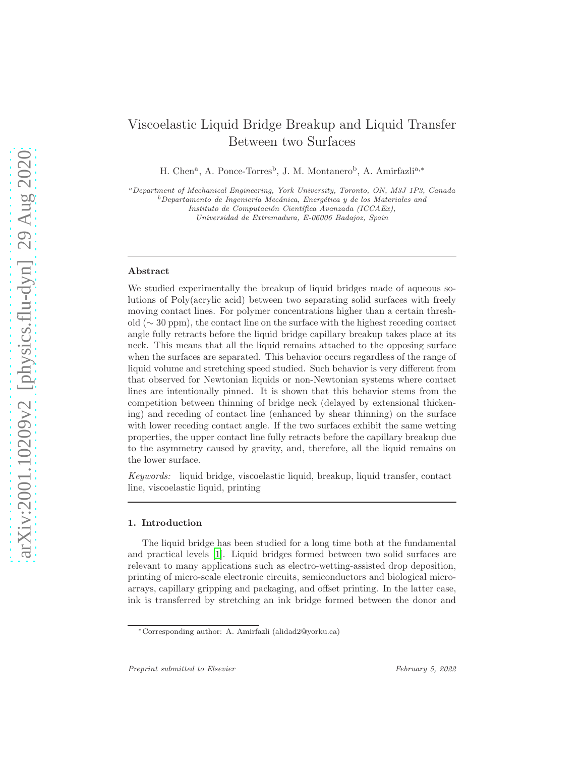# Viscoelastic Liquid Bridge Breakup and Liquid Transfer Between two Surfaces

H. Chen<sup>a</sup>, A. Ponce-Torres<sup>b</sup>, J. M. Montanero<sup>b</sup>, A. Amirfazli<sup>a,\*</sup>

<sup>a</sup>Department of Mechanical Engineering, York University, Toronto, ON, M3J 1P3, Canada  $b$ Departamento de Ingeniería Mecánica, Energética y de los Materiales and Instituto de Computación Científica Avanzada (ICCAEx), Universidad de Extremadura, E-06006 Badajoz, Spain

#### Abstract

We studied experimentally the breakup of liquid bridges made of aqueous solutions of Poly(acrylic acid) between two separating solid surfaces with freely moving contact lines. For polymer concentrations higher than a certain threshold (∼ 30 ppm), the contact line on the surface with the highest receding contact angle fully retracts before the liquid bridge capillary breakup takes place at its neck. This means that all the liquid remains attached to the opposing surface when the surfaces are separated. This behavior occurs regardless of the range of liquid volume and stretching speed studied. Such behavior is very different from that observed for Newtonian liquids or non-Newtonian systems where contact lines are intentionally pinned. It is shown that this behavior stems from the competition between thinning of bridge neck (delayed by extensional thickening) and receding of contact line (enhanced by shear thinning) on the surface with lower receding contact angle. If the two surfaces exhibit the same wetting properties, the upper contact line fully retracts before the capillary breakup due to the asymmetry caused by gravity, and, therefore, all the liquid remains on the lower surface.

Keywords: liquid bridge, viscoelastic liquid, breakup, liquid transfer, contact line, viscoelastic liquid, printing

#### 1. Introduction

The liquid bridge has been studied for a long time both at the fundamental and practical levels [\[1\]](#page-12-0). Liquid bridges formed between two solid surfaces are relevant to many applications such as electro-wetting-assisted drop deposition, printing of micro-scale electronic circuits, semiconductors and biological microarrays, capillary gripping and packaging, and offset printing. In the latter case, ink is transferred by stretching an ink bridge formed between the donor and

<sup>∗</sup>Corresponding author: A. Amirfazli (alidad2@yorku.ca)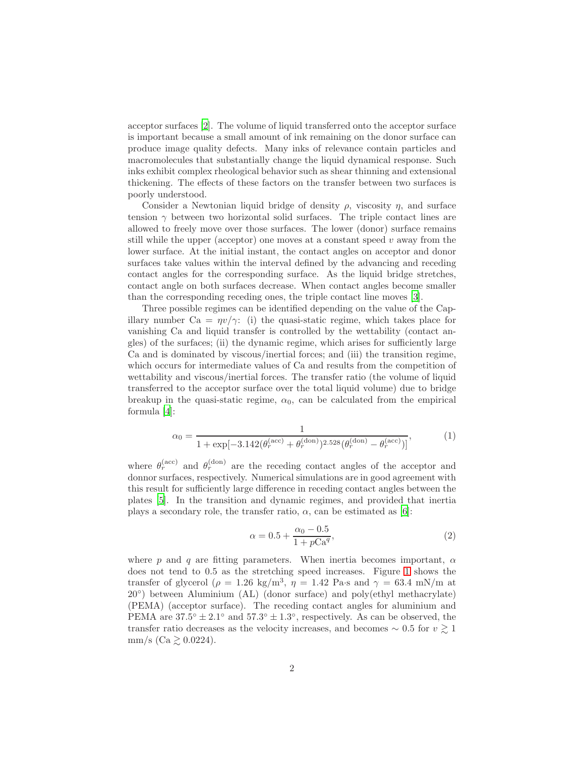acceptor surfaces [\[2\]](#page-12-1). The volume of liquid transferred onto the acceptor surface is important because a small amount of ink remaining on the donor surface can produce image quality defects. Many inks of relevance contain particles and macromolecules that substantially change the liquid dynamical response. Such inks exhibit complex rheological behavior such as shear thinning and extensional thickening. The effects of these factors on the transfer between two surfaces is poorly understood.

Consider a Newtonian liquid bridge of density  $\rho$ , viscosity  $\eta$ , and surface tension  $\gamma$  between two horizontal solid surfaces. The triple contact lines are allowed to freely move over those surfaces. The lower (donor) surface remains still while the upper (acceptor) one moves at a constant speed  $v$  away from the lower surface. At the initial instant, the contact angles on acceptor and donor surfaces take values within the interval defined by the advancing and receding contact angles for the corresponding surface. As the liquid bridge stretches, contact angle on both surfaces decrease. When contact angles become smaller than the corresponding receding ones, the triple contact line moves [\[3\]](#page-12-2).

Three possible regimes can be identified depending on the value of the Capillary number Ca =  $\eta v/\gamma$ : (i) the quasi-static regime, which takes place for vanishing Ca and liquid transfer is controlled by the wettability (contact angles) of the surfaces; (ii) the dynamic regime, which arises for sufficiently large Ca and is dominated by viscous/inertial forces; and (iii) the transition regime, which occurs for intermediate values of Ca and results from the competition of wettability and viscous/inertial forces. The transfer ratio (the volume of liquid transferred to the acceptor surface over the total liquid volume) due to bridge breakup in the quasi-static regime,  $\alpha_0$ , can be calculated from the empirical formula [\[4](#page-12-3)]:

<span id="page-1-0"></span>
$$
\alpha_0 = \frac{1}{1 + \exp[-3.142(\theta_r^{\text{(acc)}} + \theta_r^{\text{(don)}})^{2.528}(\theta_r^{\text{(don)}} - \theta_r^{\text{(acc)}})]},\tag{1}
$$

where  $\theta_r^{\text{(acc)}}$  and  $\theta_r^{\text{(don)}}$  are the receding contact angles of the acceptor and donnor surfaces, respectively. Numerical simulations are in good agreement with this result for sufficiently large difference in receding contact angles between the plates [\[5](#page-12-4)]. In the transition and dynamic regimes, and provided that inertia plays a secondary role, the transfer ratio,  $\alpha$ , can be estimated as [\[6](#page-12-5)]:

<span id="page-1-1"></span>
$$
\alpha = 0.5 + \frac{\alpha_0 - 0.5}{1 + p\text{Ca}^q},\tag{2}
$$

where p and q are fitting parameters. When inertia becomes important,  $\alpha$ does not tend to 0.5 as the stretching speed increases. Figure [1](#page-2-0) shows the transfer of glycerol ( $\rho = 1.26 \text{ kg/m}^3$ ,  $\eta = 1.42 \text{ Pa} \cdot \text{s}$  and  $\gamma = 63.4 \text{ mN/m}$  at 20◦ ) between Aluminium (AL) (donor surface) and poly(ethyl methacrylate) (PEMA) (acceptor surface). The receding contact angles for aluminium and PEMA are  $37.5^{\circ} \pm 2.1^{\circ}$  and  $57.3^{\circ} \pm 1.3^{\circ}$ , respectively. As can be observed, the transfer ratio decreases as the velocity increases, and becomes  $\sim 0.5$  for  $v \gtrsim 1$ mm/s (Ca  $\gtrsim$  0.0224).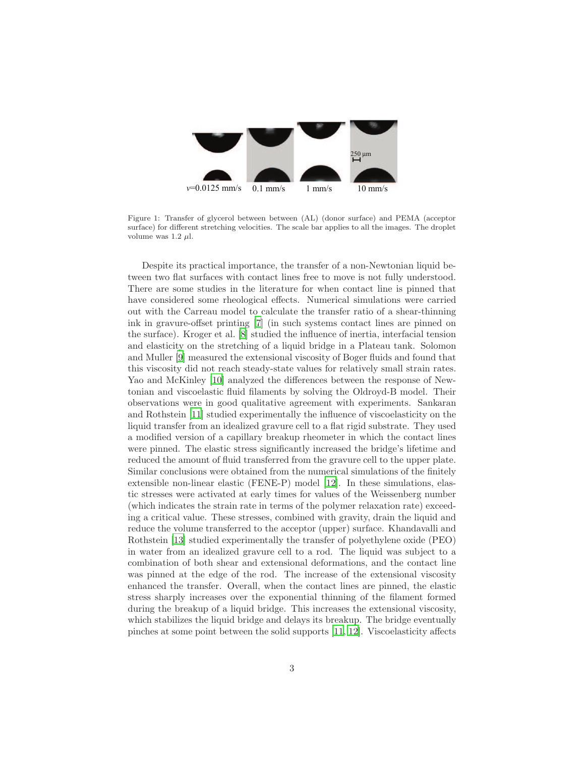

<span id="page-2-0"></span>Figure 1: Transfer of glycerol between between (AL) (donor surface) and PEMA (acceptor surface) for different stretching velocities. The scale bar applies to all the images. The droplet volume was  $1.2 \mu l$ .

Despite its practical importance, the transfer of a non-Newtonian liquid between two flat surfaces with contact lines free to move is not fully understood. There are some studies in the literature for when contact line is pinned that have considered some rheological effects. Numerical simulations were carried out with the Carreau model to calculate the transfer ratio of a shear-thinning ink in gravure-offset printing [\[7](#page-12-6)] (in such systems contact lines are pinned on the surface). Kroger et al. [\[8](#page-12-7)] studied the influence of inertia, interfacial tension and elasticity on the stretching of a liquid bridge in a Plateau tank. Solomon and Muller [\[9\]](#page-12-8) measured the extensional viscosity of Boger fluids and found that this viscosity did not reach steady-state values for relatively small strain rates. Yao and McKinley [\[10](#page-12-9)] analyzed the differences between the response of Newtonian and viscoelastic fluid filaments by solving the Oldroyd-B model. Their observations were in good qualitative agreement with experiments. Sankaran and Rothstein [\[11\]](#page-12-10) studied experimentally the influence of viscoelasticity on the liquid transfer from an idealized gravure cell to a flat rigid substrate. They used a modified version of a capillary breakup rheometer in which the contact lines were pinned. The elastic stress significantly increased the bridge's lifetime and reduced the amount of fluid transferred from the gravure cell to the upper plate. Similar conclusions were obtained from the numerical simulations of the finitely extensible non-linear elastic (FENE-P) model [\[12\]](#page-12-11). In these simulations, elastic stresses were activated at early times for values of the Weissenberg number (which indicates the strain rate in terms of the polymer relaxation rate) exceeding a critical value. These stresses, combined with gravity, drain the liquid and reduce the volume transferred to the acceptor (upper) surface. Khandavalli and Rothstein [\[13\]](#page-12-12) studied experimentally the transfer of polyethylene oxide (PEO) in water from an idealized gravure cell to a rod. The liquid was subject to a combination of both shear and extensional deformations, and the contact line was pinned at the edge of the rod. The increase of the extensional viscosity enhanced the transfer. Overall, when the contact lines are pinned, the elastic stress sharply increases over the exponential thinning of the filament formed during the breakup of a liquid bridge. This increases the extensional viscosity, which stabilizes the liquid bridge and delays its breakup. The bridge eventually pinches at some point between the solid supports [\[11,](#page-12-10) [12\]](#page-12-11). Viscoelasticity affects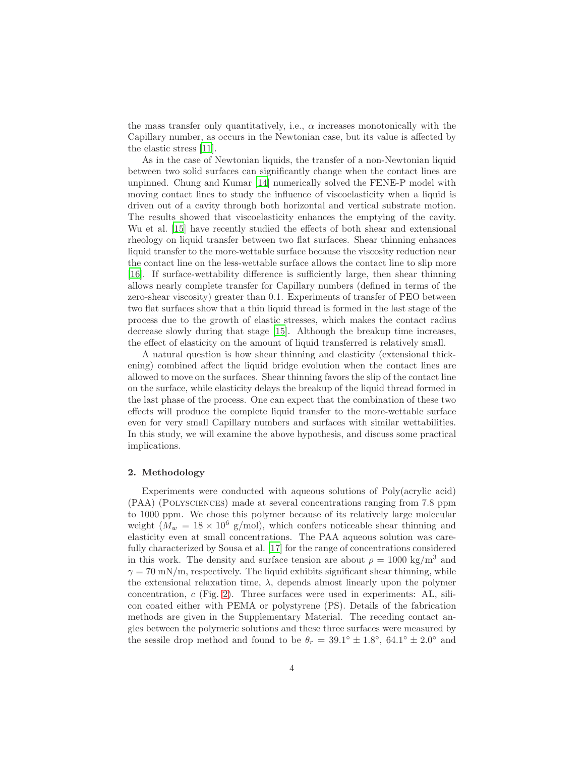the mass transfer only quantitatively, i.e.,  $\alpha$  increases monotonically with the Capillary number, as occurs in the Newtonian case, but its value is affected by the elastic stress [\[11\]](#page-12-10).

As in the case of Newtonian liquids, the transfer of a non-Newtonian liquid between two solid surfaces can significantly change when the contact lines are unpinned. Chung and Kumar [\[14\]](#page-12-13) numerically solved the FENE-P model with moving contact lines to study the influence of viscoelasticity when a liquid is driven out of a cavity through both horizontal and vertical substrate motion. The results showed that viscoelasticity enhances the emptying of the cavity. Wu et al. [\[15](#page-13-0)] have recently studied the effects of both shear and extensional rheology on liquid transfer between two flat surfaces. Shear thinning enhances liquid transfer to the more-wettable surface because the viscosity reduction near the contact line on the less-wettable surface allows the contact line to slip more [\[16\]](#page-13-1). If surface-wettability difference is sufficiently large, then shear thinning allows nearly complete transfer for Capillary numbers (defined in terms of the zero-shear viscosity) greater than 0.1. Experiments of transfer of PEO between two flat surfaces show that a thin liquid thread is formed in the last stage of the process due to the growth of elastic stresses, which makes the contact radius decrease slowly during that stage [\[15\]](#page-13-0). Although the breakup time increases, the effect of elasticity on the amount of liquid transferred is relatively small.

A natural question is how shear thinning and elasticity (extensional thickening) combined affect the liquid bridge evolution when the contact lines are allowed to move on the surfaces. Shear thinning favors the slip of the contact line on the surface, while elasticity delays the breakup of the liquid thread formed in the last phase of the process. One can expect that the combination of these two effects will produce the complete liquid transfer to the more-wettable surface even for very small Capillary numbers and surfaces with similar wettabilities. In this study, we will examine the above hypothesis, and discuss some practical implications.

### 2. Methodology

Experiments were conducted with aqueous solutions of Poly(acrylic acid) (PAA) (Polysciences) made at several concentrations ranging from 7.8 ppm to 1000 ppm. We chose this polymer because of its relatively large molecular weight  $(M_w = 18 \times 10^6 \text{ g/mol})$ , which confers noticeable shear thinning and elasticity even at small concentrations. The PAA aqueous solution was carefully characterized by Sousa et al. [\[17](#page-13-2)] for the range of concentrations considered in this work. The density and surface tension are about  $\rho = 1000 \text{ kg/m}^3$  and  $\gamma = 70$  mN/m, respectively. The liquid exhibits significant shear thinning, while the extensional relaxation time,  $\lambda$ , depends almost linearly upon the polymer concentration, c (Fig. [2\)](#page-4-0). Three surfaces were used in experiments: AL, silicon coated either with PEMA or polystyrene (PS). Details of the fabrication methods are given in the Supplementary Material. The receding contact angles between the polymeric solutions and these three surfaces were measured by the sessile drop method and found to be  $\theta_r = 39.1^\circ \pm 1.8^\circ$ , 64.1°  $\pm 2.0^\circ$  and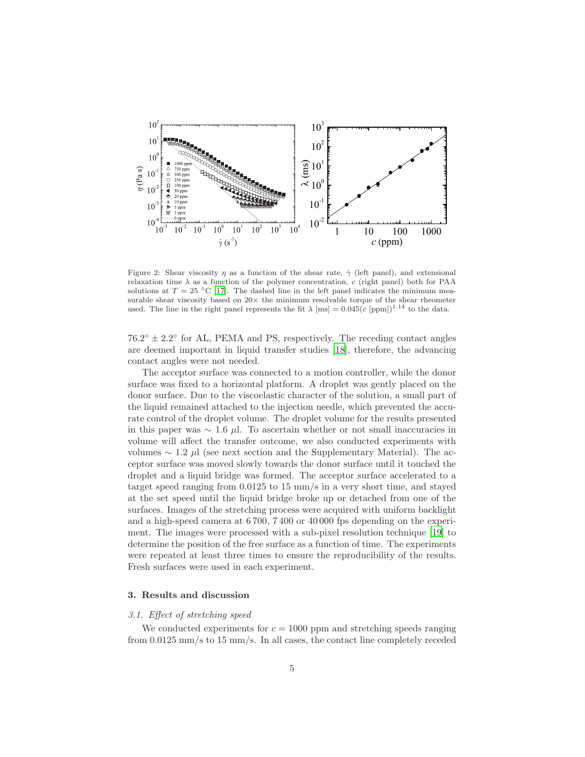

<span id="page-4-0"></span>Figure 2: Shear viscosity  $\eta$  as a function of the shear rate,  $\dot{\gamma}$  (left panel), and extensional relaxation time  $\lambda$  as a function of the polymer concentration, c (right panel) both for PAA solutions at  $T = 25 \text{ °C}$  [\[17\]](#page-13-2). The dashed line in the left panel indicates the minimum measurable shear viscosity based on  $20\times$  the minimum resolvable torque of the shear rheometer used. The line in the right panel represents the fit  $\lambda$  [ms] = 0.045(c [ppm])<sup>1.14</sup> to the data.

 $76.2^{\circ} \pm 2.2^{\circ}$  for AL, PEMA and PS, respectively. The receding contact angles are deemed important in liquid transfer studies [\[18\]](#page-13-3), therefore, the advancing contact angles were not needed.

The acceptor surface was connected to a motion controller, while the donor surface was fixed to a horizontal platform. A droplet was gently placed on the donor surface. Due to the viscoelastic character of the solution, a small part of the liquid remained attached to the injection needle, which prevented the accurate control of the droplet volume. The droplet volume for the results presented in this paper was  $\sim 1.6 \mu l$ . To ascertain whether or not small inaccuracies in volume will affect the transfer outcome, we also conducted experiments with volumes  $\sim$  1.2 μl (see next section and the Supplementary Material). The acceptor surface was moved slowly towards the donor surface until it touched the droplet and a liquid bridge was formed. The acceptor surface accelerated to a target speed ranging from 0.0125 to 15 mm/s in a very short time, and stayed at the set speed until the liquid bridge broke up or detached from one of the surfaces. Images of the stretching process were acquired with uniform backlight and a high-speed camera at 6 700, 7 400 or 40 000 fps depending on the experiment. The images were processed with a sub-pixel resolution technique [\[19](#page-13-4)] to determine the position of the free surface as a function of time. The experiments were repeated at least three times to ensure the reproducibility of the results. Fresh surfaces were used in each experiment.

## 3. Results and discussion

### 3.1. Effect of stretching speed

We conducted experiments for  $c = 1000$  ppm and stretching speeds ranging from 0.0125 mm/s to 15 mm/s. In all cases, the contact line completely receded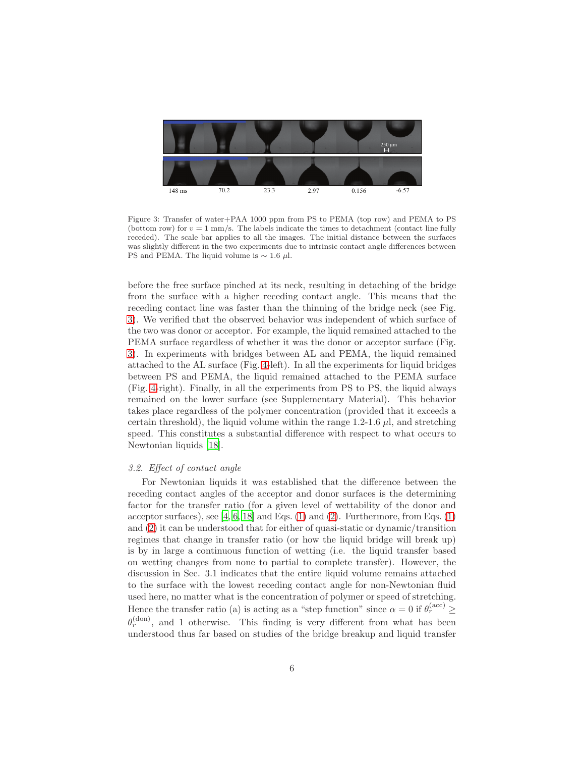

<span id="page-5-0"></span>Figure 3: Transfer of water+PAA 1000 ppm from PS to PEMA (top row) and PEMA to PS (bottom row) for  $v = 1$  mm/s. The labels indicate the times to detachment (contact line fully receded). The scale bar applies to all the images. The initial distance between the surfaces was slightly different in the two experiments due to intrinsic contact angle differences between PS and PEMA. The liquid volume is  $\sim 1.6 \mu l$ .

before the free surface pinched at its neck, resulting in detaching of the bridge from the surface with a higher receding contact angle. This means that the receding contact line was faster than the thinning of the bridge neck (see Fig. [3\)](#page-5-0). We verified that the observed behavior was independent of which surface of the two was donor or acceptor. For example, the liquid remained attached to the PEMA surface regardless of whether it was the donor or acceptor surface (Fig. [3\)](#page-5-0). In experiments with bridges between AL and PEMA, the liquid remained attached to the AL surface (Fig. [4-](#page-6-0)left). In all the experiments for liquid bridges between PS and PEMA, the liquid remained attached to the PEMA surface (Fig. [4-](#page-6-0)right). Finally, in all the experiments from PS to PS, the liquid always remained on the lower surface (see Supplementary Material). This behavior takes place regardless of the polymer concentration (provided that it exceeds a certain threshold), the liquid volume within the range  $1.2\n-1.6$  µ, and stretching speed. This constitutes a substantial difference with respect to what occurs to Newtonian liquids [\[18\]](#page-13-3).

#### 3.2. Effect of contact angle

For Newtonian liquids it was established that the difference between the receding contact angles of the acceptor and donor surfaces is the determining factor for the transfer ratio (for a given level of wettability of the donor and acceptor surfaces), see  $[4, 6, 18]$  $[4, 6, 18]$  $[4, 6, 18]$  and Eqs.  $(1)$  and  $(2)$ . Furthermore, from Eqs.  $(1)$ and [\(2\)](#page-1-1) it can be understood that for either of quasi-static or dynamic/transition regimes that change in transfer ratio (or how the liquid bridge will break up) is by in large a continuous function of wetting (i.e. the liquid transfer based on wetting changes from none to partial to complete transfer). However, the discussion in Sec. 3.1 indicates that the entire liquid volume remains attached to the surface with the lowest receding contact angle for non-Newtonian fluid used here, no matter what is the concentration of polymer or speed of stretching. Hence the transfer ratio (a) is acting as a "step function" since  $\alpha = 0$  if  $\theta_r^{(\text{acc})} \ge$  $\theta_r^{\text{(don)}}$ , and 1 otherwise. This finding is very different from what has been understood thus far based on studies of the bridge breakup and liquid transfer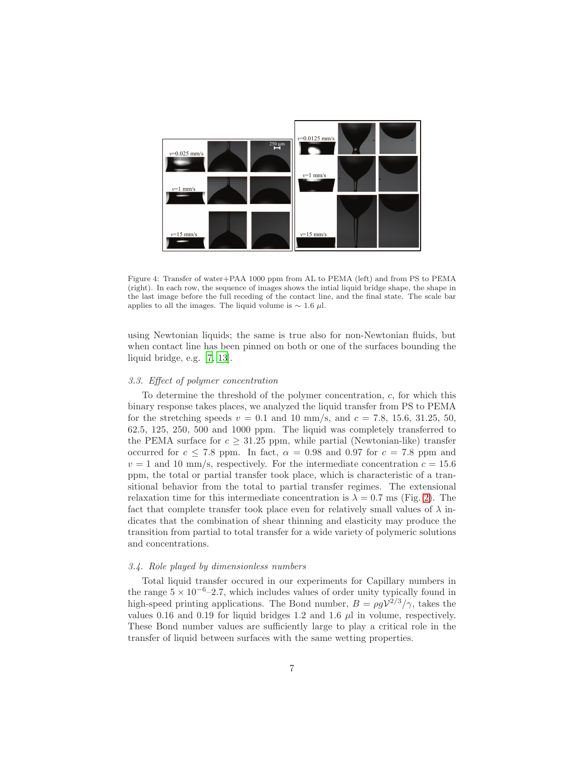

<span id="page-6-0"></span>Figure 4: Transfer of water+PAA 1000 ppm from AL to PEMA (left) and from PS to PEMA (right). In each row, the sequence of images shows the intial liquid bridge shape, the shape in the last image before the full receding of the contact line, and the final state. The scale bar applies to all the images. The liquid volume is  $\sim 1.6 \mu$ l.

using Newtonian liquids; the same is true also for non-Newtonian fluids, but when contact line has been pinned on both or one of the surfaces bounding the liquid bridge, e.g. [\[7](#page-12-6), [13](#page-12-12)].

#### 3.3. Effect of polymer concentration

To determine the threshold of the polymer concentration,  $c$ , for which this binary response takes places, we analyzed the liquid transfer from PS to PEMA for the stretching speeds  $v = 0.1$  and 10 mm/s, and  $c = 7.8, 15.6, 31.25, 50$ , 62.5, 125, 250, 500 and 1000 ppm. The liquid was completely transferred to the PEMA surface for  $c \geq 31.25$  ppm, while partial (Newtonian-like) transfer occurred for  $c \le 7.8$  ppm. In fact,  $\alpha = 0.98$  and 0.97 for  $c = 7.8$  ppm and  $v = 1$  and 10 mm/s, respectively. For the intermediate concentration  $c = 15.6$ ppm, the total or partial transfer took place, which is characteristic of a transitional behavior from the total to partial transfer regimes. The extensional relaxation time for this intermediate concentration is  $\lambda = 0.7$  ms (Fig. [2\)](#page-4-0). The fact that complete transfer took place even for relatively small values of  $\lambda$  indicates that the combination of shear thinning and elasticity may produce the transition from partial to total transfer for a wide variety of polymeric solutions and concentrations.

#### 3.4. Role played by dimensionless numbers

Total liquid transfer occured in our experiments for Capillary numbers in the range  $5 \times 10^{-6}$ –2.7, which includes values of order unity typically found in high-speed printing applications. The Bond number,  $B = \rho g V^{2/3}/\gamma$ , takes the values 0.16 and 0.19 for liquid bridges 1.2 and 1.6  $\mu$ l in volume, respectively. These Bond number values are sufficiently large to play a critical role in the transfer of liquid between surfaces with the same wetting properties.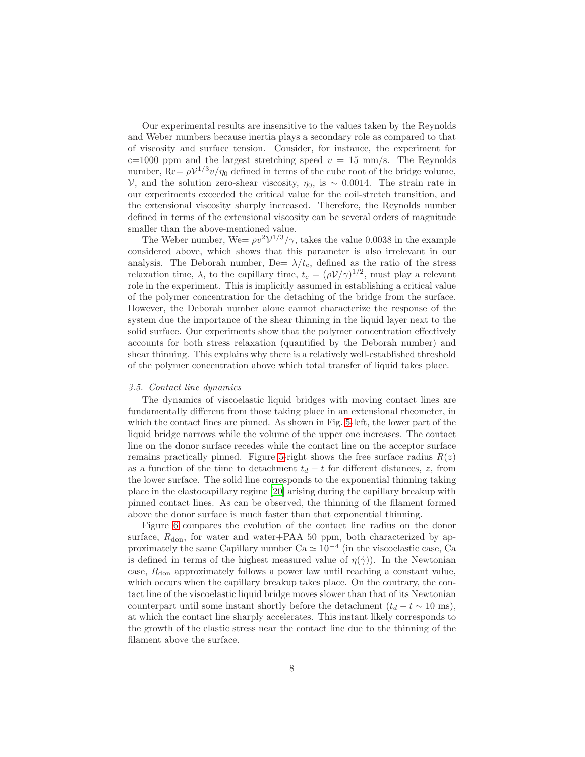Our experimental results are insensitive to the values taken by the Reynolds and Weber numbers because inertia plays a secondary role as compared to that of viscosity and surface tension. Consider, for instance, the experiment for c=1000 ppm and the largest stretching speed  $v = 15$  mm/s. The Reynolds number, Re=  $\rho V^{1/3} v / \eta_0$  defined in terms of the cube root of the bridge volume, V, and the solution zero-shear viscosity,  $η_0$ , is ∼ 0.0014. The strain rate in our experiments exceeded the critical value for the coil-stretch transition, and the extensional viscosity sharply increased. Therefore, the Reynolds number defined in terms of the extensional viscosity can be several orders of magnitude smaller than the above-mentioned value.

The Weber number, We=  $\rho v^2 V^{1/3}/\gamma$ , takes the value 0.0038 in the example considered above, which shows that this parameter is also irrelevant in our analysis. The Deborah number, De=  $\lambda/t_c$ , defined as the ratio of the stress relaxation time,  $\lambda$ , to the capillary time,  $t_c = (\rho V/\gamma)^{1/2}$ , must play a relevant role in the experiment. This is implicitly assumed in establishing a critical value of the polymer concentration for the detaching of the bridge from the surface. However, the Deborah number alone cannot characterize the response of the system due the importance of the shear thinning in the liquid layer next to the solid surface. Our experiments show that the polymer concentration effectively accounts for both stress relaxation (quantified by the Deborah number) and shear thinning. This explains why there is a relatively well-established threshold of the polymer concentration above which total transfer of liquid takes place.

#### 3.5. Contact line dynamics

The dynamics of viscoelastic liquid bridges with moving contact lines are fundamentally different from those taking place in an extensional rheometer, in which the contact lines are pinned. As shown in Fig. [5-](#page-8-0)left, the lower part of the liquid bridge narrows while the volume of the upper one increases. The contact line on the donor surface recedes while the contact line on the acceptor surface remains practically pinned. Figure [5-](#page-8-0)right shows the free surface radius  $R(z)$ as a function of the time to detachment  $t_d - t$  for different distances, z, from the lower surface. The solid line corresponds to the exponential thinning taking place in the elastocapillary regime [\[20\]](#page-13-5) arising during the capillary breakup with pinned contact lines. As can be observed, the thinning of the filament formed above the donor surface is much faster than that exponential thinning.

Figure [6](#page-8-1) compares the evolution of the contact line radius on the donor surface,  $R_{\text{don}}$ , for water and water+PAA 50 ppm, both characterized by approximately the same Capillary number  $Ca \simeq 10^{-4}$  (in the viscoelastic case, Ca is defined in terms of the highest measured value of  $\eta(\dot{\gamma})$ ). In the Newtonian case,  $R_{\text{don}}$  approximately follows a power law until reaching a constant value, which occurs when the capillary breakup takes place. On the contrary, the contact line of the viscoelastic liquid bridge moves slower than that of its Newtonian counterpart until some instant shortly before the detachment  $(t_d - t \sim 10 \text{ ms}),$ at which the contact line sharply accelerates. This instant likely corresponds to the growth of the elastic stress near the contact line due to the thinning of the filament above the surface.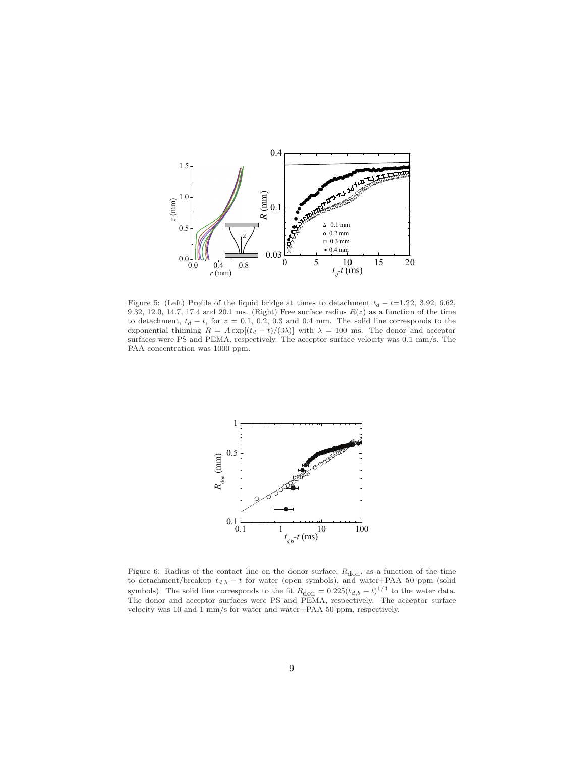

<span id="page-8-0"></span>Figure 5: (Left) Profile of the liquid bridge at times to detachment  $t_d - t = 1.22, 3.92, 6.62,$ 9.32, 12.0, 14.7, 17.4 and 20.1 ms. (Right) Free surface radius  $R(z)$  as a function of the time to detachment,  $t_d - t$ , for  $z = 0.1, 0.2, 0.3$  and 0.4 mm. The solid line corresponds to the exponential thinning  $R = A \exp[(t_d - t)/(3\lambda)]$  with  $\lambda = 100$  ms. The donor and acceptor surfaces were PS and PEMA, respectively. The acceptor surface velocity was 0.1 mm/s. The PAA concentration was 1000 ppm.



<span id="page-8-1"></span>Figure 6: Radius of the contact line on the donor surface,  $R_{\text{don}}$ , as a function of the time to detachment/breakup  $t_{d,b} - t$  for water (open symbols), and water+PAA 50 ppm (solid symbols). The solid line corresponds to the fit  $R_{\text{don}} = 0.225(t_{d,b} - t)^{1/4}$  to the water data. The donor and acceptor surfaces were PS and PEMA, respectively. The acceptor surface velocity was 10 and 1 mm/s for water and water+PAA 50 ppm, respectively.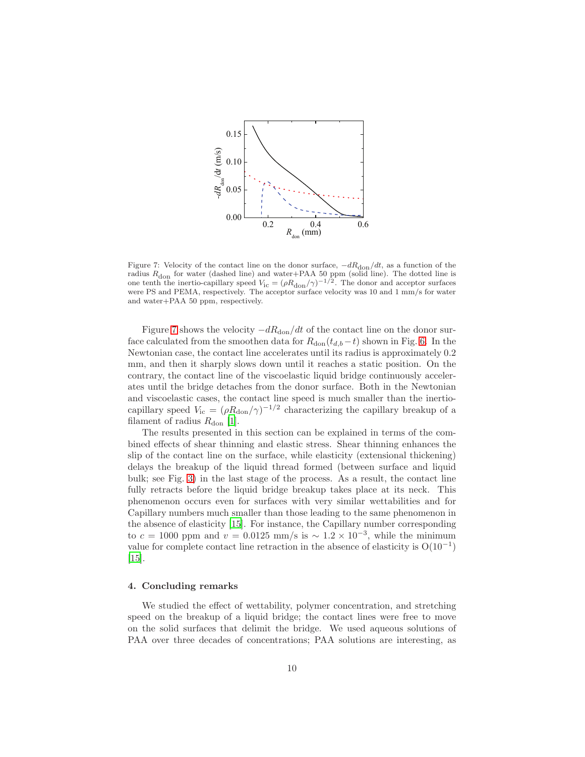

<span id="page-9-0"></span>Figure 7: Velocity of the contact line on the donor surface,  $-dR_{\text{don}}/dt$ , as a function of the radius  $R_{\text{don}}$  for water (dashed line) and water+PAA 50 ppm (solid line). The dotted line is one tenth the inertio-capillary speed  $V_{\text{ic}} = (\rho R_{\text{don}}/\gamma)^{-1/2}$ . The donor and acceptor surfaces were PS and PEMA, respectively. The acceptor surface velocity was 10 and 1 mm/s for water and water+PAA 50 ppm, respectively.

Figure [7](#page-9-0) shows the velocity  $-dR_{don}/dt$  of the contact line on the donor surface calculated from the smoothen data for  $R_{don}(t_{d,b}-t)$  shown in Fig. [6.](#page-8-1) In the Newtonian case, the contact line accelerates until its radius is approximately 0.2 mm, and then it sharply slows down until it reaches a static position. On the contrary, the contact line of the viscoelastic liquid bridge continuously accelerates until the bridge detaches from the donor surface. Both in the Newtonian and viscoelastic cases, the contact line speed is much smaller than the inertiocapillary speed  $V_{\text{ic}} = (\rho R_{\text{don}}/\gamma)^{-1/2}$  characterizing the capillary breakup of a filament of radius  $R_{\text{don}}$  [\[1\]](#page-12-0).

The results presented in this section can be explained in terms of the combined effects of shear thinning and elastic stress. Shear thinning enhances the slip of the contact line on the surface, while elasticity (extensional thickening) delays the breakup of the liquid thread formed (between surface and liquid bulk; see Fig. [3\)](#page-5-0) in the last stage of the process. As a result, the contact line fully retracts before the liquid bridge breakup takes place at its neck. This phenomenon occurs even for surfaces with very similar wettabilities and for Capillary numbers much smaller than those leading to the same phenomenon in the absence of elasticity [\[15](#page-13-0)]. For instance, the Capillary number corresponding to  $c = 1000$  ppm and  $v = 0.0125$  mm/s is  $\sim 1.2 \times 10^{-3}$ , while the minimum value for complete contact line retraction in the absence of elasticity is  $O(10^{-1})$ [\[15\]](#page-13-0).

#### 4. Concluding remarks

We studied the effect of wettability, polymer concentration, and stretching speed on the breakup of a liquid bridge; the contact lines were free to move on the solid surfaces that delimit the bridge. We used aqueous solutions of PAA over three decades of concentrations; PAA solutions are interesting, as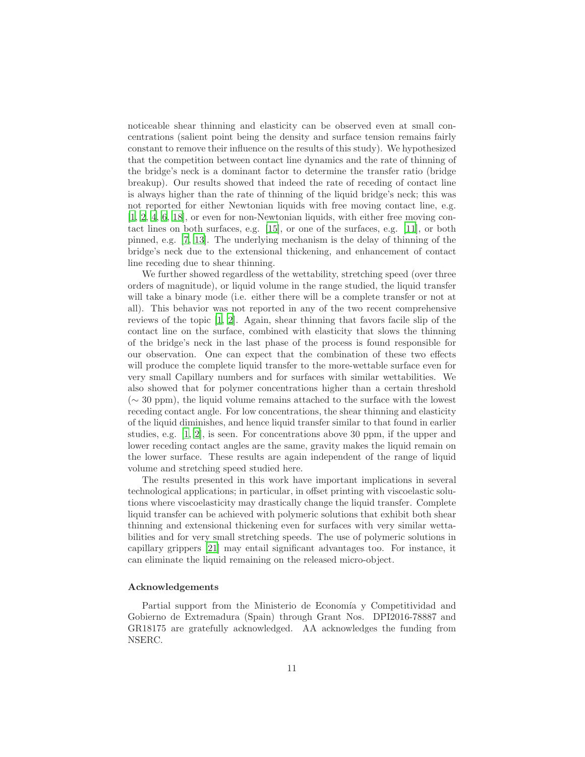noticeable shear thinning and elasticity can be observed even at small concentrations (salient point being the density and surface tension remains fairly constant to remove their influence on the results of this study). We hypothesized that the competition between contact line dynamics and the rate of thinning of the bridge's neck is a dominant factor to determine the transfer ratio (bridge breakup). Our results showed that indeed the rate of receding of contact line is always higher than the rate of thinning of the liquid bridge's neck; this was not reported for either Newtonian liquids with free moving contact line, e.g. [\[1,](#page-12-0) [2,](#page-12-1) [4,](#page-12-3) [6,](#page-12-5) [18\]](#page-13-3), or even for non-Newtonian liquids, with either free moving contact lines on both surfaces, e.g. [\[15\]](#page-13-0), or one of the surfaces, e.g. [\[11](#page-12-10)], or both pinned, e.g. [\[7](#page-12-6), [13\]](#page-12-12). The underlying mechanism is the delay of thinning of the bridge's neck due to the extensional thickening, and enhancement of contact line receding due to shear thinning.

We further showed regardless of the wettability, stretching speed (over three orders of magnitude), or liquid volume in the range studied, the liquid transfer will take a binary mode (i.e. either there will be a complete transfer or not at all). This behavior was not reported in any of the two recent comprehensive reviews of the topic [\[1](#page-12-0), [2\]](#page-12-1). Again, shear thinning that favors facile slip of the contact line on the surface, combined with elasticity that slows the thinning of the bridge's neck in the last phase of the process is found responsible for our observation. One can expect that the combination of these two effects will produce the complete liquid transfer to the more-wettable surface even for very small Capillary numbers and for surfaces with similar wettabilities. We also showed that for polymer concentrations higher than a certain threshold  $({\sim} 30$  ppm), the liquid volume remains attached to the surface with the lowest receding contact angle. For low concentrations, the shear thinning and elasticity of the liquid diminishes, and hence liquid transfer similar to that found in earlier studies, e.g.  $[1, 2]$  $[1, 2]$ , is seen. For concentrations above 30 ppm, if the upper and lower receding contact angles are the same, gravity makes the liquid remain on the lower surface. These results are again independent of the range of liquid volume and stretching speed studied here.

The results presented in this work have important implications in several technological applications; in particular, in offset printing with viscoelastic solutions where viscoelasticity may drastically change the liquid transfer. Complete liquid transfer can be achieved with polymeric solutions that exhibit both shear thinning and extensional thickening even for surfaces with very similar wettabilities and for very small stretching speeds. The use of polymeric solutions in capillary grippers [\[21\]](#page-13-6) may entail significant advantages too. For instance, it can eliminate the liquid remaining on the released micro-object.

#### Acknowledgements

Partial support from the Ministerio de Economía y Competitividad and Gobierno de Extremadura (Spain) through Grant Nos. DPI2016-78887 and GR18175 are gratefully acknowledged. AA acknowledges the funding from NSERC.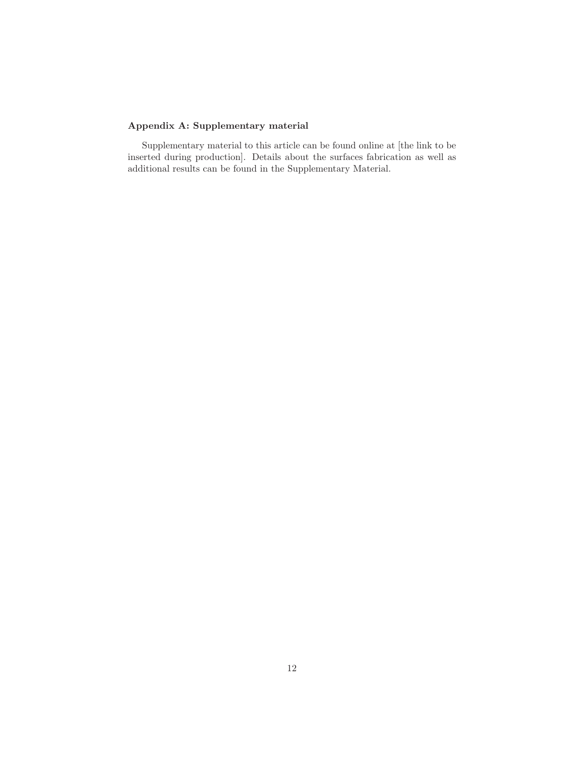# Appendix A: Supplementary material

Supplementary material to this article can be found online at [the link to be inserted during production]. Details about the surfaces fabrication as well as additional results can be found in the Supplementary Material.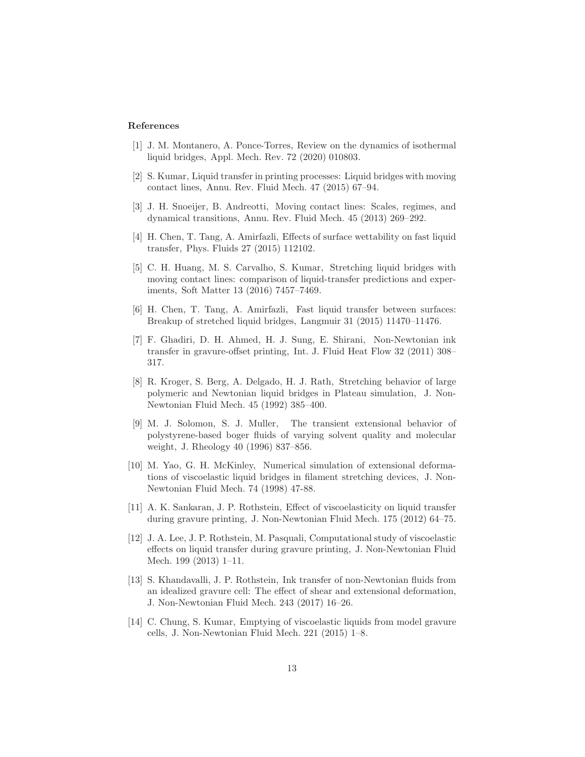#### References

- <span id="page-12-0"></span>[1] J. M. Montanero, A. Ponce-Torres, Review on the dynamics of isothermal liquid bridges, Appl. Mech. Rev. 72 (2020) 010803.
- <span id="page-12-1"></span>[2] S. Kumar, Liquid transfer in printing processes: Liquid bridges with moving contact lines, Annu. Rev. Fluid Mech. 47 (2015) 67–94.
- <span id="page-12-2"></span>[3] J. H. Snoeijer, B. Andreotti, Moving contact lines: Scales, regimes, and dynamical transitions, Annu. Rev. Fluid Mech. 45 (2013) 269–292.
- <span id="page-12-3"></span>[4] H. Chen, T. Tang, A. Amirfazli, Effects of surface wettability on fast liquid transfer, Phys. Fluids 27 (2015) 112102.
- <span id="page-12-4"></span>[5] C. H. Huang, M. S. Carvalho, S. Kumar, Stretching liquid bridges with moving contact lines: comparison of liquid-transfer predictions and experiments, Soft Matter 13 (2016) 7457–7469.
- <span id="page-12-5"></span>[6] H. Chen, T. Tang, A. Amirfazli, Fast liquid transfer between surfaces: Breakup of stretched liquid bridges, Langmuir 31 (2015) 11470–11476.
- <span id="page-12-6"></span>[7] F. Ghadiri, D. H. Ahmed, H. J. Sung, E. Shirani, Non-Newtonian ink transfer in gravure-offset printing, Int. J. Fluid Heat Flow 32 (2011) 308– 317.
- <span id="page-12-7"></span>[8] R. Kroger, S. Berg, A. Delgado, H. J. Rath, Stretching behavior of large polymeric and Newtonian liquid bridges in Plateau simulation, J. Non-Newtonian Fluid Mech. 45 (1992) 385–400.
- <span id="page-12-8"></span>[9] M. J. Solomon, S. J. Muller, The transient extensional behavior of polystyrene-based boger fluids of varying solvent quality and molecular weight, J. Rheology 40 (1996) 837–856.
- <span id="page-12-9"></span>[10] M. Yao, G. H. McKinley, Numerical simulation of extensional deformations of viscoelastic liquid bridges in filament stretching devices, J. Non-Newtonian Fluid Mech. 74 (1998) 47-88.
- <span id="page-12-10"></span>[11] A. K. Sankaran, J. P. Rothstein, Effect of viscoelasticity on liquid transfer during gravure printing, J. Non-Newtonian Fluid Mech. 175 (2012) 64–75.
- <span id="page-12-11"></span>[12] J. A. Lee, J. P. Rothstein, M. Pasquali, Computational study of viscoelastic effects on liquid transfer during gravure printing, J. Non-Newtonian Fluid Mech. 199 (2013) 1–11.
- <span id="page-12-12"></span>[13] S. Khandavalli, J. P. Rothstein, Ink transfer of non-Newtonian fluids from an idealized gravure cell: The effect of shear and extensional deformation, J. Non-Newtonian Fluid Mech. 243 (2017) 16–26.
- <span id="page-12-13"></span>[14] C. Chung, S. Kumar, Emptying of viscoelastic liquids from model gravure cells, J. Non-Newtonian Fluid Mech. 221 (2015) 1–8.